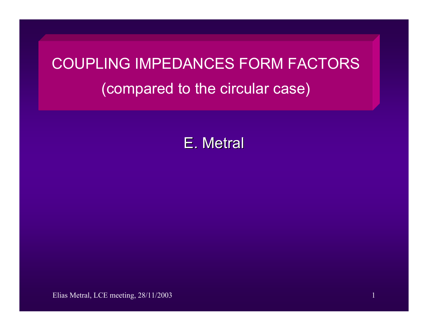## COUPLING IMPEDANCES FORM FACTORS (compared to the circular case)

E. Metral

Elias Metral, LCE meeting, 28/11/2003 1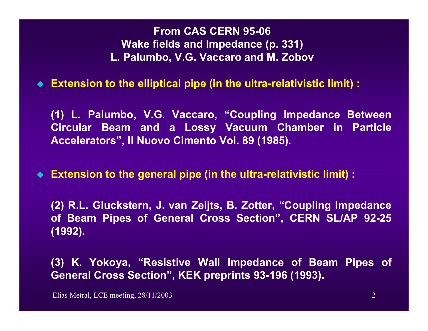**From CAS CERN 95-06 Wake fields and Impedance (p. 331) L. Palumbo, V.G. Vaccaro and M. Zobov**

**Extension to the elliptical pipe (in the ultra-relativistic limit) :**

**(1) L. Palumbo, V.G. Vaccaro, "Coupling Impedance Between Circular Beam and a Lossy Vacuum Chamber in Particle Accelerators", Il Nuovo Cimento Vol. 89 (1985).** 

**Extension to the general pipe (in the ultra-relativistic limit) :**

**(2) R.L. Gluckstern, J. van Zeijts, B. Zotter, "Coupling Impedance of Beam Pipes of General Cross Section", CERN SL/AP 92-25 (1992).** 

**(3) K. Yokoya, "Resistive Wall Impedance of Beam Pipes of General Cross Section", KEK preprints 93-196 (1993).**

Elias Metral, LCE meeting, 28/11/2003 2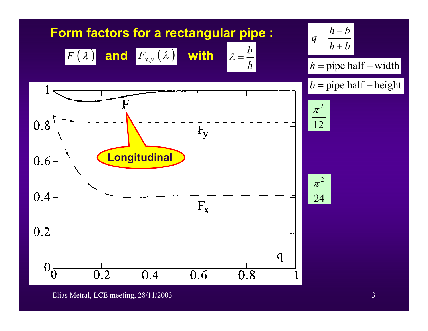

Elias Metral, LCE meeting, 28/11/2003 3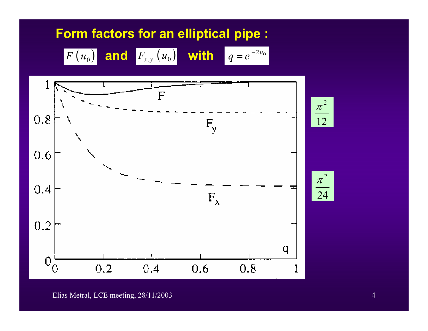## **Form factors for an elliptical pipe :**





Elias Metral, LCE meeting, 28/11/2003 4